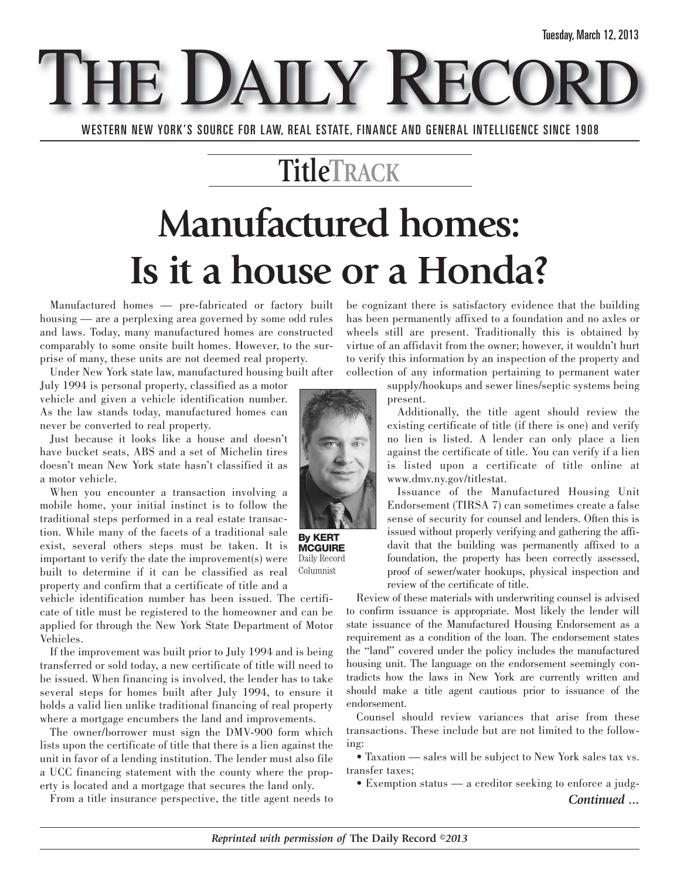E DAILY REC WESTERN NEW YORK'S SOURCE FOR LAW, REAL ESTATE, FINANCE AND GENERAL INTELLIGENCE SINCE 1908

### **TitleTRACK**

# **Manufactured homes: Is it a house or a Honda?**

Manufactured homes — pre-fabricated or factory built housing — are a perplexing area governed by some odd rules and laws. Today, many manufactured homes are constructed comparably to some onsite built homes. However, to the surprise of many, these units are not deemed real property.

Under New York state law, manufactured housing built after

July 1994 is personal property, classified as a motor vehicle and given a vehicle identification number. As the law stands today, manufactured homes can never be converted to real property.

Just because it looks like a house and doesn't have bucket seats, ABS and a set of Michelin tires doesn't mean New York state hasn't classified it as a motor vehicle.

When you encounter a transaction involving a mobile home, your initial instinct is to follow the traditional steps performed in a real estate transaction. While many of the facets of a traditional sale exist, several others steps must be taken. It is important to verify the date the improvement(s) were built to determine if it can be classified as real property and confirm that a certificate of title and a

vehicle identification number has been issued. The certificate of title must be registered to the homeowner and can be applied for through the New York State Department of Motor Vehicles.

If the improvement was built prior to July 1994 and is being transferred or sold today, a new certificate of title will need to be issued. When financing is involved, the lender has to take several steps for homes built after July 1994, to ensure it holds a valid lien unlike traditional financing of real property where a mortgage encumbers the land and improvements.

The owner/borrower must sign the DMV-900 form which lists upon the certificate of title that there is a lien against the unit in favor of a lending institution. The lender must also file a UCC financing statement with the county where the property is located and a mortgage that secures the land only.

From a title insurance perspective, the title agent needs to

be cognizant there is satisfactory evidence that the building has been permanently affixed to a foundation and no axles or wheels still are present. Traditionally this is obtained by virtue of an affidavit from the owner; however, it wouldn't hurt to verify this information by an inspection of the property and collection of any information pertaining to permanent water

> supply/hookups and sewer lines/septic systems being present.

Additionally, the title agent should review the existing certificate of title (if there is one) and verify no lien is listed. A lender can only place a lien against the certificate of title. You can verify if a lien is listed upon a certificate of title online at www.dmv.ny.gov/titlestat.

Issuance of the Manufactured Housing Unit Endorsement (TIRSA 7) can sometimes create a false sense of security for counsel and lenders. Often this is issued without properly verifying and gathering the affidavit that the building was permanently affixed to a foundation, the property has been correctly assessed, proof of sewer/water hookups, physical inspection and review of the certificate of title.

Review of these materials with underwriting counsel is advised to confirm issuance is appropriate. Most likely the lender will state issuance of the Manufactured Housing Endorsement as a requirement as a condition of the loan. The endorsement states the "land" covered under the policy includes the manufactured housing unit. The language on the endorsement seemingly contradicts how the laws in New York are currently written and should make a title agent cautious prior to issuance of the endorsement.

Counsel should review variances that arise from these transactions. These include but are not limited to the following:

• Taxation — sales will be subject to New York sales tax vs. transfer taxes;

• Exemption status — a creditor seeking to enforce a judg-

*Continued ...*



**By KERT MCGUIRE** Daily Record Columnist